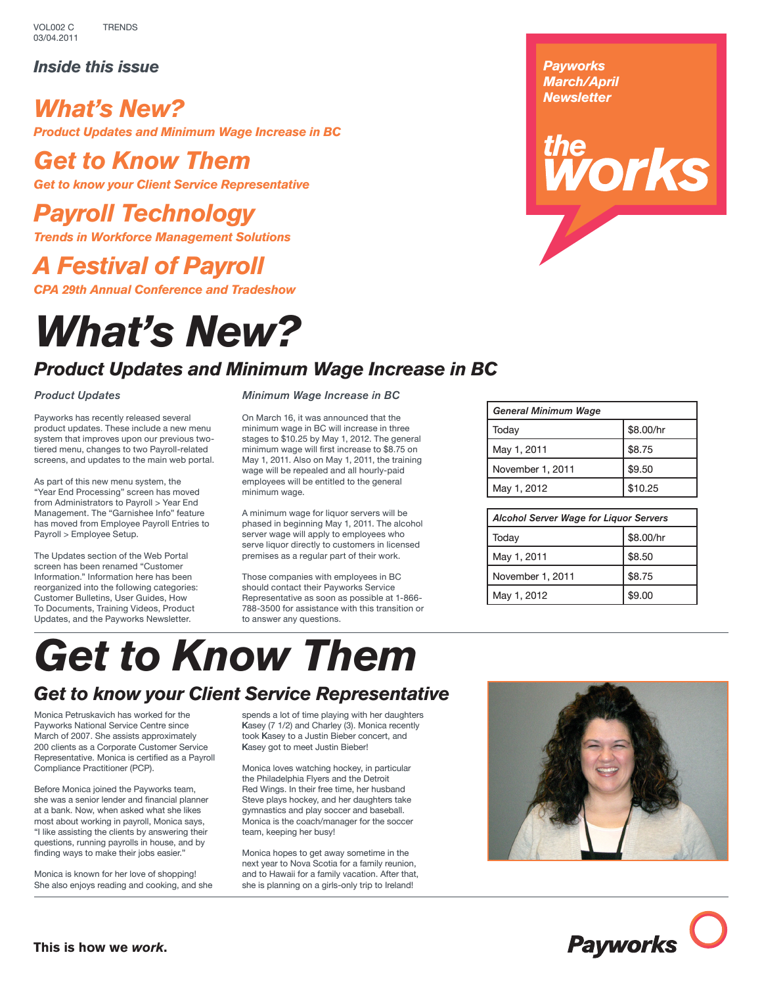*Inside this issue*

### *What's New? Product Updates and Minimum Wage Increase in BC*

# *Get to Know Them*

*Get to know your Client Service Representative*

# *Payroll Technology*

*Trends in Workforce Management Solutions*

# *A Festival of Payroll*

*CPA 29th Annual Conference and Tradeshow*

# *What's New?*

### *Product Updates and Minimum Wage Increase in BC*

### *Product Updates*

Payworks has recently released several product updates. These include a new menu system that improves upon our previous twotiered menu, changes to two Payroll-related screens, and updates to the main web portal.

As part of this new menu system, the "Year End Processing" screen has moved from Administrators to Payroll > Year End Management. The "Garnishee Info" feature has moved from Employee Payroll Entries to Payroll > Employee Setup.

The Updates section of the Web Portal screen has been renamed "Customer Information." Information here has been reorganized into the following categories: Customer Bulletins, User Guides, How To Documents, Training Videos, Product Updates, and the Payworks Newsletter.

*Minimum Wage Increase in BC*

On March 16, it was announced that the minimum wage in BC will increase in three stages to \$10.25 by May 1, 2012. The general minimum wage will first increase to \$8.75 on May 1, 2011. Also on May 1, 2011, the training wage will be repealed and all hourly-paid employees will be entitled to the general minimum wage.

A minimum wage for liquor servers will be phased in beginning May 1, 2011. The alcohol server wage will apply to employees who serve liquor directly to customers in licensed premises as a regular part of their work.

Those companies with employees in BC should contact their Payworks Service Representative as soon as possible at 1-866- 788-3500 for assistance with this transition or to answer any questions.

### *Payworks March/April Newsletter*

# *iorks*



| <b>Alcohol Server Wage for Liguor Servers</b> |           |
|-----------------------------------------------|-----------|
| Today                                         | \$8.00/hr |
| May 1, 2011                                   | \$8.50    |
| November 1, 2011                              | \$8.75    |
| May 1, 2012                                   | \$9.00    |

# *Get to Know Them*

# *Get to know your Client Service Representative*

Monica Petruskavich has worked for the Payworks National Service Centre since March of 2007. She assists approximately 200 clients as a Corporate Customer Service Representative. Monica is certified as a Payroll Compliance Practitioner (PCP).

Before Monica joined the Payworks team, she was a senior lender and financial planner at a bank. Now, when asked what she likes most about working in payroll, Monica says, "I like assisting the clients by answering their questions, running payrolls in house, and by finding ways to make their jobs easier."

Monica is known for her love of shopping! She also enjoys reading and cooking, and she spends a lot of time playing with her daughters Kasey (7 1/2) and Charley (3). Monica recently took Kasey to a Justin Bieber concert, and Kasey got to meet Justin Bieber!

Monica loves watching hockey, in particular the Philadelphia Flyers and the Detroit Red Wings. In their free time, her husband Steve plays hockey, and her daughters take gymnastics and play soccer and baseball. Monica is the coach/manager for the soccer team, keeping her busy!

Monica hopes to get away sometime in the next year to Nova Scotia for a family reunion, and to Hawaii for a family vacation. After that, she is planning on a girls-only trip to Ireland!